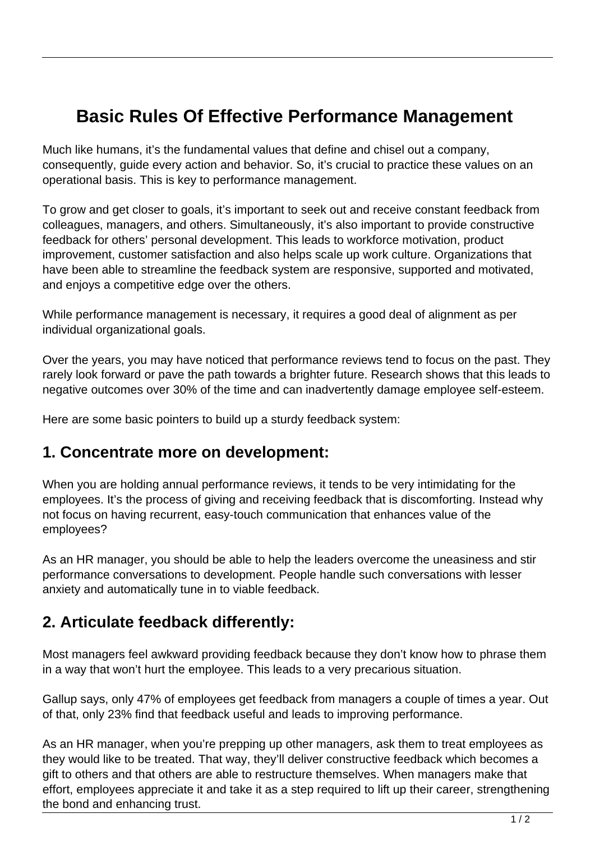## **Basic Rules Of Effective Performance Management**

Much like humans, it's the fundamental values that define and chisel out a company, consequently, guide every action and behavior. So, it's crucial to practice these values on an operational basis. This is key to performance management.

To grow and get closer to goals, it's important to seek out and receive constant feedback from colleagues, managers, and others. Simultaneously, it's also important to provide constructive feedback for others' personal development. This leads to workforce motivation, product improvement, customer satisfaction and also helps scale up work culture. Organizations that have been able to streamline the feedback system are responsive, supported and motivated, and enjoys a competitive edge over the others.

While performance management is necessary, it requires a good deal of alignment as per individual organizational goals.

Over the years, you may have noticed that performance reviews tend to focus on the past. They rarely look forward or pave the path towards a brighter future. Research shows that this leads to negative outcomes over 30% of the time and can inadvertently damage employee self-esteem.

Here are some basic pointers to build up a sturdy feedback system:

## **1. Concentrate more on development:**

When you are holding annual performance reviews, it tends to be very intimidating for the employees. It's the process of giving and receiving feedback that is discomforting. Instead why not focus on having recurrent, easy-touch communication that enhances value of the employees?

As an HR manager, you should be able to help the leaders overcome the uneasiness and stir performance conversations to development. People handle such conversations with lesser anxiety and automatically tune in to viable feedback.

## **2. Articulate feedback differently:**

Most managers feel awkward providing feedback because they don't know how to phrase them in a way that won't hurt the employee. This leads to a very precarious situation.

Gallup says, only 47% of employees get feedback from managers a couple of times a year. Out of that, only 23% find that feedback useful and leads to improving performance.

As an HR manager, when you're prepping up other managers, ask them to treat employees as they would like to be treated. That way, they'll deliver constructive feedback which becomes a gift to others and that others are able to restructure themselves. When managers make that effort, employees appreciate it and take it as a step required to lift up their career, strengthening the bond and enhancing trust.